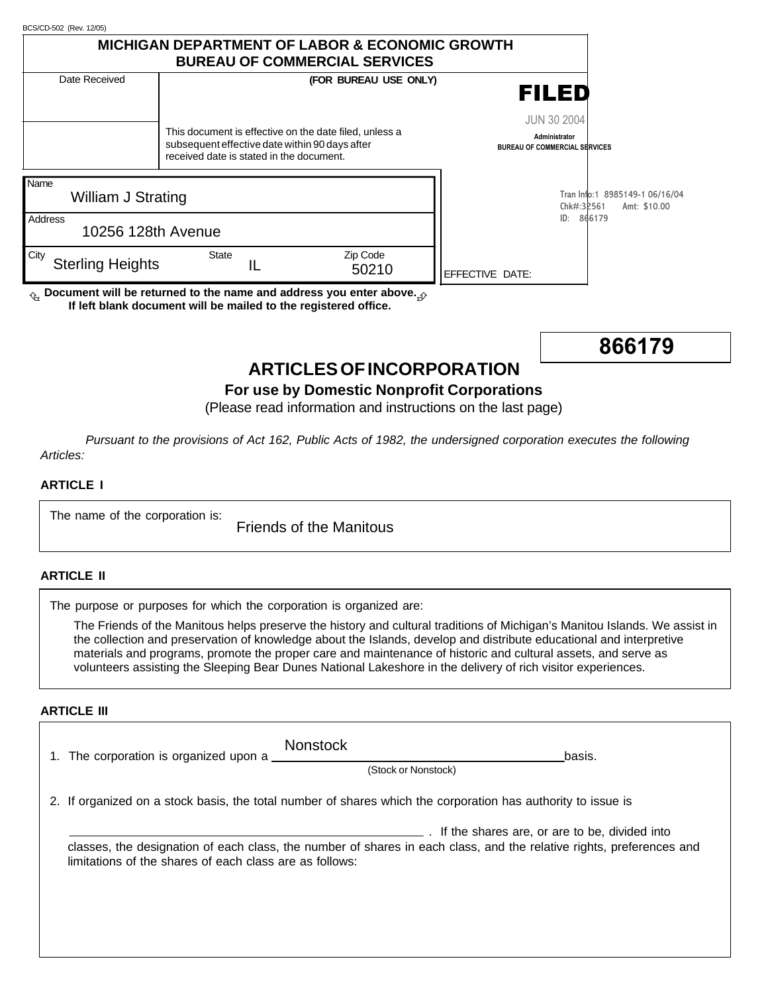| BCS/CD-502 (Rev. 12/05)                                                                        |              |                                          |                                                        |       |                                                                                                                                                                                                                                                                                                                                                      |                                                       |              |
|------------------------------------------------------------------------------------------------|--------------|------------------------------------------|--------------------------------------------------------|-------|------------------------------------------------------------------------------------------------------------------------------------------------------------------------------------------------------------------------------------------------------------------------------------------------------------------------------------------------------|-------------------------------------------------------|--------------|
|                                                                                                |              |                                          | <b>BUREAU OF COMMERCIAL SERVICES</b>                   |       | <b>MICHIGAN DEPARTMENT OF LABOR &amp; ECONOMIC GROWTH</b>                                                                                                                                                                                                                                                                                            |                                                       |              |
| Date Received                                                                                  |              |                                          | (FOR BUREAU USE ONLY)                                  |       |                                                                                                                                                                                                                                                                                                                                                      |                                                       |              |
|                                                                                                |              |                                          |                                                        |       |                                                                                                                                                                                                                                                                                                                                                      | FILED                                                 |              |
|                                                                                                |              |                                          |                                                        |       |                                                                                                                                                                                                                                                                                                                                                      |                                                       |              |
|                                                                                                |              |                                          | This document is effective on the date filed, unless a |       |                                                                                                                                                                                                                                                                                                                                                      | <b>JUN 30 2004</b>                                    |              |
|                                                                                                |              |                                          | subsequent effective date within 90 days after         |       |                                                                                                                                                                                                                                                                                                                                                      | Administrator<br><b>BUREAU OF COMMERCIAL SERVICES</b> |              |
|                                                                                                |              | received date is stated in the document. |                                                        |       |                                                                                                                                                                                                                                                                                                                                                      |                                                       |              |
| Name                                                                                           |              |                                          |                                                        |       |                                                                                                                                                                                                                                                                                                                                                      |                                                       |              |
| William J Strating                                                                             |              |                                          |                                                        |       |                                                                                                                                                                                                                                                                                                                                                      | Tran Info:1 8985149-1 06/16/04<br>Chk#:32561          | Amt: \$10.00 |
| Address                                                                                        |              |                                          |                                                        |       |                                                                                                                                                                                                                                                                                                                                                      | ID: 866179                                            |              |
| 10256 128th Avenue                                                                             |              |                                          |                                                        |       |                                                                                                                                                                                                                                                                                                                                                      |                                                       |              |
| City                                                                                           | <b>State</b> |                                          | Zip Code                                               |       |                                                                                                                                                                                                                                                                                                                                                      |                                                       |              |
| <b>Sterling Heights</b>                                                                        |              | IL                                       |                                                        | 50210 | EFFECTIVE DATE:                                                                                                                                                                                                                                                                                                                                      |                                                       |              |
| $\textsubscript{th}$ Document will be returned to the name and address you enter above. $\phi$ |              |                                          |                                                        |       |                                                                                                                                                                                                                                                                                                                                                      |                                                       |              |
| If left blank document will be mailed to the registered office.                                |              |                                          |                                                        |       |                                                                                                                                                                                                                                                                                                                                                      |                                                       |              |
|                                                                                                |              |                                          |                                                        |       |                                                                                                                                                                                                                                                                                                                                                      |                                                       |              |
|                                                                                                |              |                                          |                                                        |       |                                                                                                                                                                                                                                                                                                                                                      |                                                       | 866179       |
|                                                                                                |              |                                          |                                                        |       | <b>ARTICLES OF INCORPORATION</b>                                                                                                                                                                                                                                                                                                                     |                                                       |              |
| Articles:                                                                                      |              |                                          |                                                        |       | (Please read information and instructions on the last page)<br>Pursuant to the provisions of Act 162, Public Acts of 1982, the undersigned corporation executes the following                                                                                                                                                                        |                                                       |              |
| <b>ARTICLE I</b>                                                                               |              |                                          |                                                        |       |                                                                                                                                                                                                                                                                                                                                                      |                                                       |              |
| The name of the corporation is:                                                                |              |                                          | <b>Friends of the Manitous</b>                         |       |                                                                                                                                                                                                                                                                                                                                                      |                                                       |              |
| <b>ARTICLE II</b>                                                                              |              |                                          |                                                        |       |                                                                                                                                                                                                                                                                                                                                                      |                                                       |              |
| The purpose or purposes for which the corporation is organized are:                            |              |                                          |                                                        |       |                                                                                                                                                                                                                                                                                                                                                      |                                                       |              |
|                                                                                                |              |                                          |                                                        |       | The Friends of the Manitous helps preserve the history and cultural traditions of Michigan's Manitou Islands. We ass                                                                                                                                                                                                                                 |                                                       |              |
|                                                                                                |              |                                          |                                                        |       | the collection and preservation of knowledge about the Islands, develop and distribute educational and interpretive<br>materials and programs, promote the proper care and maintenance of historic and cultural assets, and serve as<br>volunteers assisting the Sleeping Bear Dunes National Lakeshore in the delivery of rich visitor experiences. |                                                       |              |
|                                                                                                |              |                                          |                                                        |       |                                                                                                                                                                                                                                                                                                                                                      |                                                       |              |
| <b>ARTICLE III</b>                                                                             |              |                                          |                                                        |       |                                                                                                                                                                                                                                                                                                                                                      |                                                       |              |
|                                                                                                |              |                                          | Nonstock                                               |       |                                                                                                                                                                                                                                                                                                                                                      |                                                       |              |



# **ARTICLES OF INCORPORATION**

## **For use by Domestic Nonprofit Corporations**

#### **ARTICLE I**

#### **ARTICLE II**

#### **ARTICLE III**

| <b>Nonstock</b><br>1. The corporation is organized upon a                                                    | basis.<br>(Stock or Nonstock)                                                                                                                                         |  |  |  |  |
|--------------------------------------------------------------------------------------------------------------|-----------------------------------------------------------------------------------------------------------------------------------------------------------------------|--|--|--|--|
| 2. If organized on a stock basis, the total number of shares which the corporation has authority to issue is |                                                                                                                                                                       |  |  |  |  |
| limitations of the shares of each class are as follows:                                                      | If the shares are, or are to be, divided into<br>classes, the designation of each class, the number of shares in each class, and the relative rights, preferences and |  |  |  |  |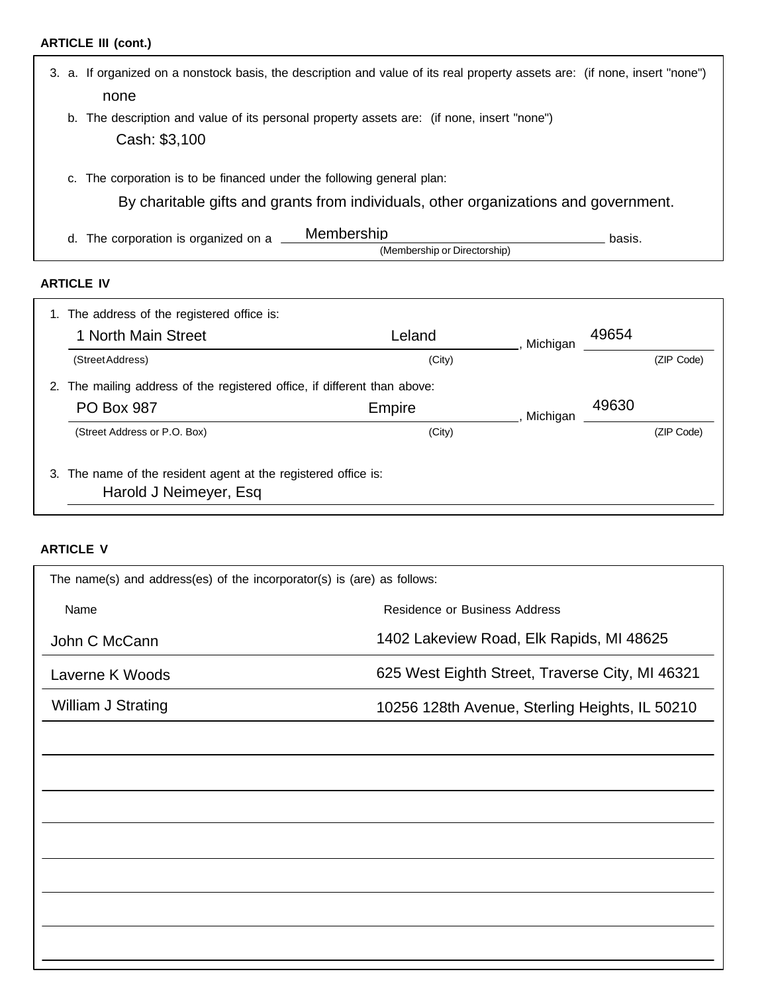## **ARTICLE III (cont.)**

| 3. | a. If organized on a nonstock basis, the description and value of its real property assets are: (if none, insert "none")<br>none                                  |                                                                    |                                            |          |        |  |  |
|----|-------------------------------------------------------------------------------------------------------------------------------------------------------------------|--------------------------------------------------------------------|--------------------------------------------|----------|--------|--|--|
|    | The description and value of its personal property assets are: (if none, insert "none")<br>b.<br>Cash: \$3,100                                                    |                                                                    |                                            |          |        |  |  |
|    | The corporation is to be financed under the following general plan:<br>C.<br>By charitable gifts and grants from individuals, other organizations and government. |                                                                    |                                            |          |        |  |  |
|    | d.                                                                                                                                                                | The corporation is organized on a                                  | Membership<br>(Membership or Directorship) |          | basis. |  |  |
|    | <b>ARTICLE IV</b>                                                                                                                                                 |                                                                    |                                            |          |        |  |  |
|    |                                                                                                                                                                   | 1. The address of the registered office is:<br>1 North Main Street | Leland                                     | Michigan | 49654  |  |  |

| (Street Address)                                                                         | (City) |                   |  | (ZIP Code) |  |
|------------------------------------------------------------------------------------------|--------|-------------------|--|------------|--|
| 2. The mailing address of the registered office, if different than above:                |        |                   |  |            |  |
| <b>PO Box 987</b>                                                                        | Empire | 49630<br>Michigan |  |            |  |
| (Street Address or P.O. Box)                                                             | (City) |                   |  | (ZIP Code) |  |
| 3. The name of the resident agent at the registered office is:<br>Harold J Neimeyer, Esq |        |                   |  |            |  |

## **ARTICLE V**

| The name(s) and address(es) of the incorporator(s) is (are) as follows: |                                                 |  |  |  |  |
|-------------------------------------------------------------------------|-------------------------------------------------|--|--|--|--|
| Name                                                                    | Residence or Business Address                   |  |  |  |  |
| John C McCann                                                           | 1402 Lakeview Road, Elk Rapids, MI 48625        |  |  |  |  |
| Laverne K Woods                                                         | 625 West Eighth Street, Traverse City, MI 46321 |  |  |  |  |
| William J Strating                                                      | 10256 128th Avenue, Sterling Heights, IL 50210  |  |  |  |  |
|                                                                         |                                                 |  |  |  |  |
|                                                                         |                                                 |  |  |  |  |
|                                                                         |                                                 |  |  |  |  |
|                                                                         |                                                 |  |  |  |  |
|                                                                         |                                                 |  |  |  |  |
|                                                                         |                                                 |  |  |  |  |
|                                                                         |                                                 |  |  |  |  |
|                                                                         |                                                 |  |  |  |  |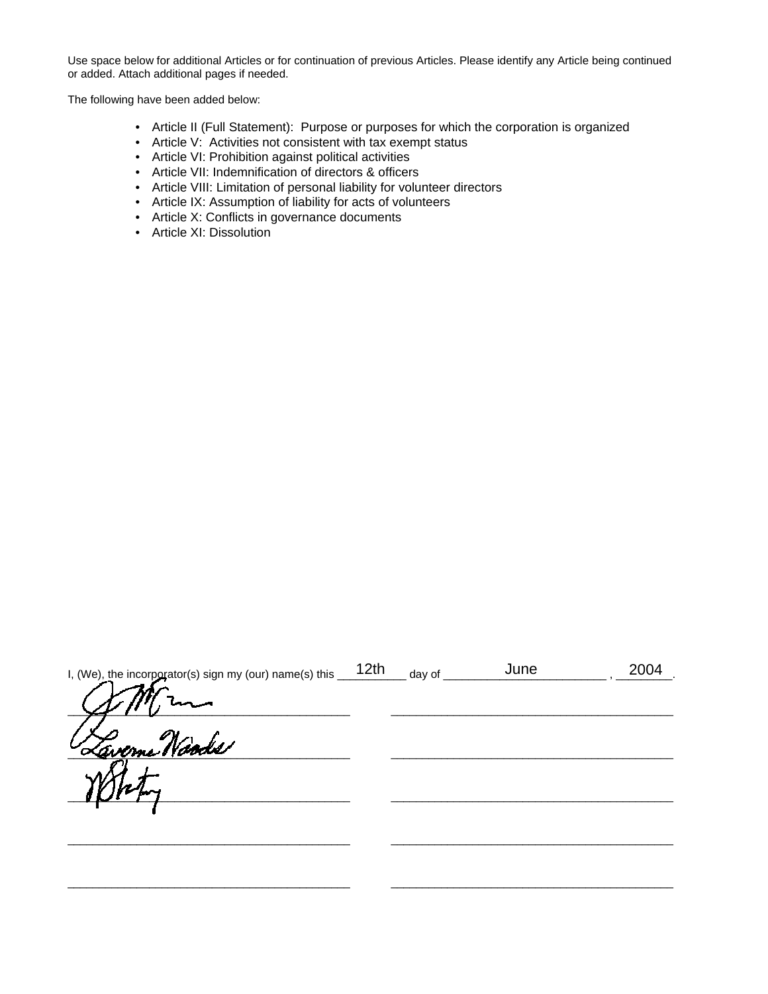Use space below for additional Articles or for continuation of previous Articles. Please identify any Article being continued or added. Attach additional pages if needed.

The following have been added below:

- Article II (Full Statement): Purpose or purposes for which the corporation is organized
- Article V: Activities not consistent with tax exempt status
- Article VI: Prohibition against political activities
- Article VII: Indemnification of directors & officers
- Article VIII: Limitation of personal liability for volunteer directors
- Article IX: Assumption of liability for acts of volunteers
- Article X: Conflicts in governance documents
- Article XI: Dissolution

| I, (We), the incorporator(s) sign my (our) name(s) this | 12 <sub>th</sub> | day of | June | 2004 |
|---------------------------------------------------------|------------------|--------|------|------|
|                                                         |                  |        |      |      |
| <u>Laverne Naods</u>                                    |                  |        |      |      |
|                                                         |                  |        |      |      |
|                                                         |                  |        |      |      |
|                                                         |                  |        |      |      |

\_\_\_\_\_\_\_\_\_\_\_\_\_\_\_\_\_\_\_\_\_\_\_\_\_\_\_\_\_\_\_\_\_\_\_\_\_\_\_\_\_\_\_\_\_ \_\_\_\_\_\_\_\_\_\_\_\_\_\_\_\_\_\_\_\_\_\_\_\_\_\_\_\_\_\_\_\_\_\_\_\_\_\_\_\_\_\_\_\_\_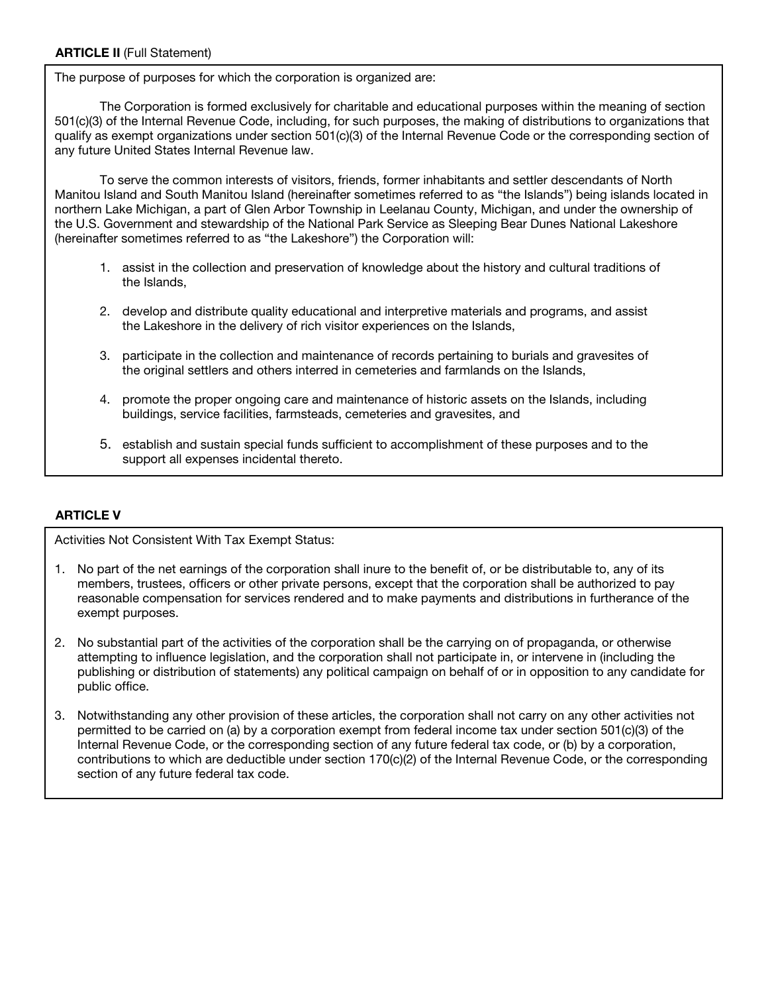The purpose of purposes for which the corporation is organized are:

The Corporation is formed exclusively for charitable and educational purposes within the meaning of section 501(c)(3) of the Internal Revenue Code, including, for such purposes, the making of distributions to organizations that qualify as exempt organizations under section 501(c)(3) of the Internal Revenue Code or the corresponding section of any future United States Internal Revenue law.

To serve the common interests of visitors, friends, former inhabitants and settler descendants of North Manitou Island and South Manitou Island (hereinafter sometimes referred to as "the Islands") being islands located in northern Lake Michigan, a part of Glen Arbor Township in Leelanau County, Michigan, and under the ownership of the U.S. Government and stewardship of the National Park Service as Sleeping Bear Dunes National Lakeshore (hereinafter sometimes referred to as "the Lakeshore") the Corporation will:

- 1. assist in the collection and preservation of knowledge about the history and cultural traditions of the Islands,
- 2. develop and distribute quality educational and interpretive materials and programs, and assist the Lakeshore in the delivery of rich visitor experiences on the Islands,
- 3. participate in the collection and maintenance of records pertaining to burials and gravesites of the original settlers and others interred in cemeteries and farmlands on the Islands,
- 4. promote the proper ongoing care and maintenance of historic assets on the Islands, including buildings, service facilities, farmsteads, cemeteries and gravesites, and
- 5. establish and sustain special funds sufficient to accomplishment of these purposes and to the support all expenses incidental thereto.

#### **ARTICLE V**

Activities Not Consistent With Tax Exempt Status:

- 1. No part of the net earnings of the corporation shall inure to the benefit of, or be distributable to, any of its members, trustees, officers or other private persons, except that the corporation shall be authorized to pay reasonable compensation for services rendered and to make payments and distributions in furtherance of the exempt purposes.
- 2. No substantial part of the activities of the corporation shall be the carrying on of propaganda, or otherwise attempting to influence legislation, and the corporation shall not participate in, or intervene in (including the publishing or distribution of statements) any political campaign on behalf of or in opposition to any candidate for public office.
- 3. Notwithstanding any other provision of these articles, the corporation shall not carry on any other activities not permitted to be carried on (a) by a corporation exempt from federal income tax under section 501(c)(3) of the Internal Revenue Code, or the corresponding section of any future federal tax code, or (b) by a corporation, contributions to which are deductible under section 170(c)(2) of the Internal Revenue Code, or the corresponding section of any future federal tax code.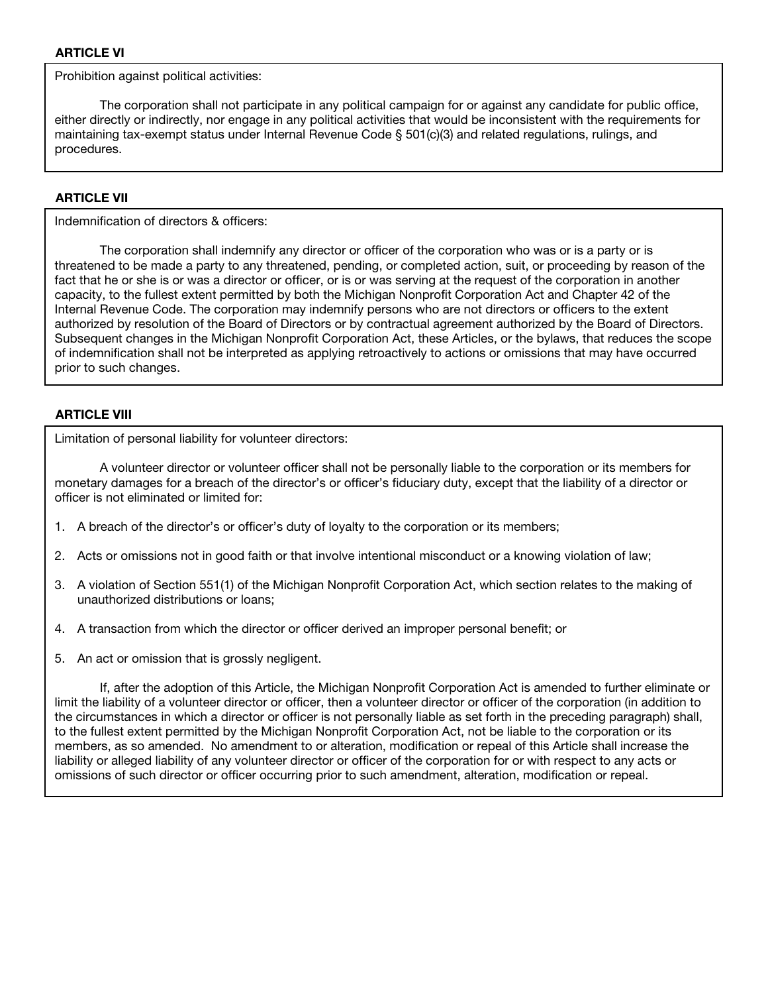Prohibition against political activities:

The corporation shall not participate in any political campaign for or against any candidate for public office, either directly or indirectly, nor engage in any political activities that would be inconsistent with the requirements for maintaining tax-exempt status under Internal Revenue Code § 501(c)(3) and related regulations, rulings, and procedures.

#### **ARTICLE VII**

Indemnification of directors & officers:

The corporation shall indemnify any director or officer of the corporation who was or is a party or is threatened to be made a party to any threatened, pending, or completed action, suit, or proceeding by reason of the fact that he or she is or was a director or officer, or is or was serving at the request of the corporation in another capacity, to the fullest extent permitted by both the Michigan Nonprofit Corporation Act and Chapter 42 of the Internal Revenue Code. The corporation may indemnify persons who are not directors or officers to the extent authorized by resolution of the Board of Directors or by contractual agreement authorized by the Board of Directors. Subsequent changes in the Michigan Nonprofit Corporation Act, these Articles, or the bylaws, that reduces the scope of indemnification shall not be interpreted as applying retroactively to actions or omissions that may have occurred prior to such changes.

#### **ARTICLE VIII**

Limitation of personal liability for volunteer directors:

A volunteer director or volunteer officer shall not be personally liable to the corporation or its members for monetary damages for a breach of the director's or officer's fiduciary duty, except that the liability of a director or officer is not eliminated or limited for:

- 1. A breach of the director's or officer's duty of loyalty to the corporation or its members;
- 2. Acts or omissions not in good faith or that involve intentional misconduct or a knowing violation of law;
- 3. A violation of Section 551(1) of the Michigan Nonprofit Corporation Act, which section relates to the making of unauthorized distributions or loans;
- 4. A transaction from which the director or officer derived an improper personal benefit; or
- 5. An act or omission that is grossly negligent.

If, after the adoption of this Article, the Michigan Nonprofit Corporation Act is amended to further eliminate or limit the liability of a volunteer director or officer, then a volunteer director or officer of the corporation (in addition to the circumstances in which a director or officer is not personally liable as set forth in the preceding paragraph) shall, to the fullest extent permitted by the Michigan Nonprofit Corporation Act, not be liable to the corporation or its members, as so amended. No amendment to or alteration, modification or repeal of this Article shall increase the liability or alleged liability of any volunteer director or officer of the corporation for or with respect to any acts or omissions of such director or officer occurring prior to such amendment, alteration, modification or repeal.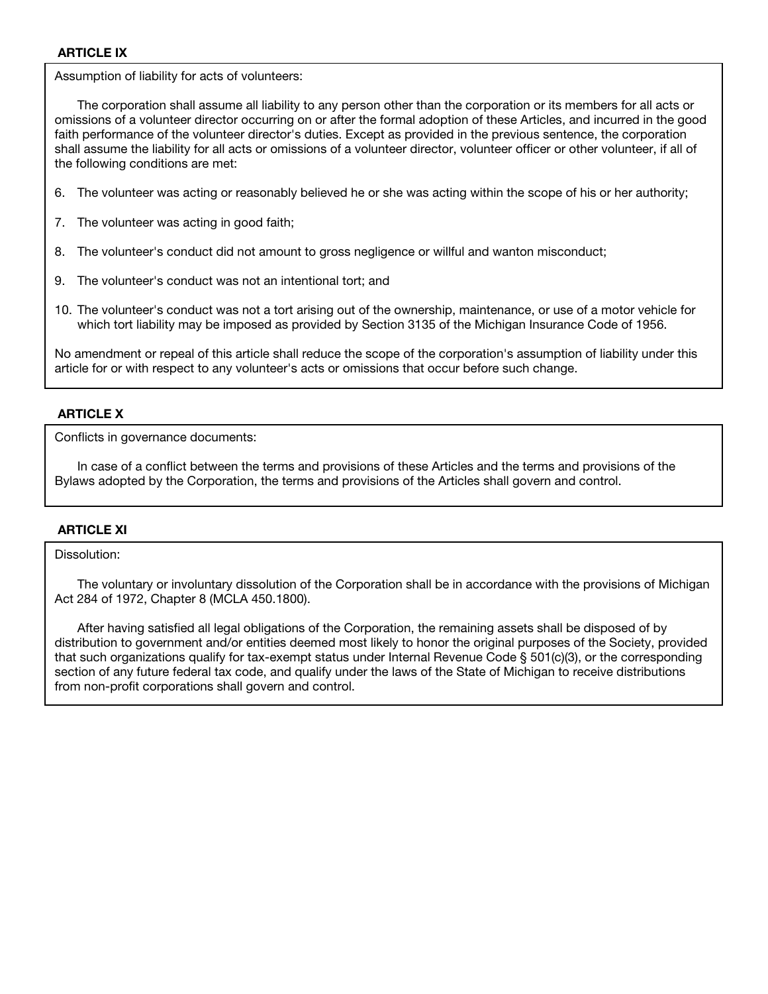#### **ARTICLE IX**

Assumption of liability for acts of volunteers: Assumption of liability for acts of volunteers:

The corporation shall assume all liability to any person other than the corporation or its members for all acts or omissions of a volunteer director occurring on or after the formal adoption of these Articles, and incurred in the good faith performance of the volunteer director's duties. Except as provided in the previous sentence, the corporation shall assume the liability for all acts or omissions of a volunteer director, volunteer officer or other volunteer, if all of the following conditions are met:

- 6. The volunteer was acting or reasonably believed he or she was acting within the scope of his or her authority;
- 2. The volunteer was acting in good faith; 7. The volunteer was acting in good faith;
- 3. The volunteer's conduct did not amount to gross negligence or willful and wanton misconduct; 8. The volunteer's conduct did not amount to gross negligence or willful and wanton misconduct;
- 4. The volunteer's conduct was not an intentional tort; and 9. The volunteer's conduct was not an intentional tort; and
- 10. The volunteer's conduct was not a tort arising out of the ownership, maintenance, or use of a motor vehicle for which tort liability may be imposed as provided by Section 3135 of the Michigan Insurance Code of 1956. which tort liability may be imposed as provided by Section 3135 of the Michigan Insurance Code of 1956.

No amendment or repeal of this article shall reduce the scope of the corporation's assumption of liability under this article for or with respect to any volunteer's acts or omissions that occur before such change. article for or with respect to any volunteer's acts or omissions that occur before such change.

#### **ARTICLE X**

Conflicts in governance documents:

In case of a conflict between the terms and provisions of these Articles and the terms and provisions of the Bylaws adopted by the Corporation, the terms and provisions of the Articles shall govern and control.

#### **ARTICLE XI**

Dissolution:

The voluntary or involuntary dissolution of the Corporation shall be in accordance with the provisions of Michigan Act 284 of 1972, Chapter 8 (MCLA 450.1800).

After having satisfied all legal obligations of the Corporation, the remaining assets shall be disposed of by distribution to government and/or entities deemed most likely to honor the original purposes of the Society, provided that such organizations qualify for tax-exempt status under Internal Revenue Code § 501(c)(3), or the corresponding section of any future federal tax code, and qualify under the laws of the State of Michigan to receive distributions from non-profit corporations shall govern and control.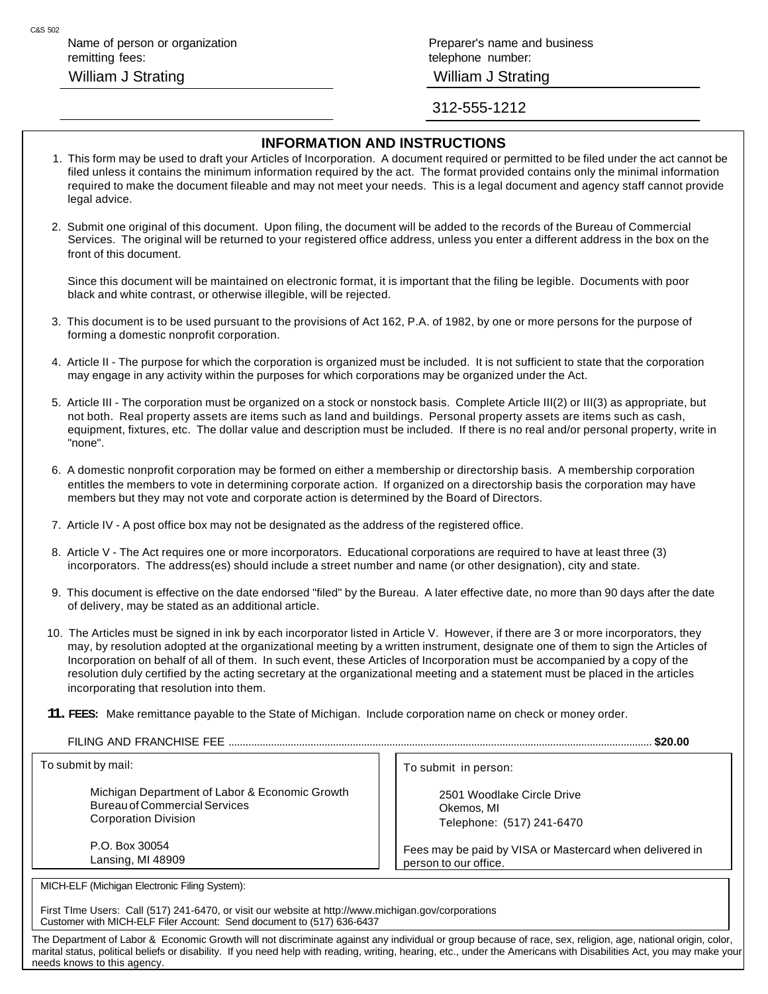Name of person or organization **Preparer's name and business** Preparer's name and business remitting fees: telephone number: telephone number: William J Strating William J Strating

312-555-1212

#### **INFORMATION AND INSTRUCTIONS**

- 1. This form may be used to draft your Articles of Incorporation. A document required or permitted to be filed under the act cannot be filed unless it contains the minimum information required by the act. The format provided contains only the minimal information required to make the document fileable and may not meet your needs. This is a legal document and agency staff cannot provide legal advice.
- 2. Submit one original of this document. Upon filing, the document will be added to the records of the Bureau of Commercial Services. The original will be returned to your registered office address, unless you enter a different address in the box on the front of this document.

Since this document will be maintained on electronic format, it is important that the filing be legible. Documents with poor black and white contrast, or otherwise illegible, will be rejected.

- 3. This document is to be used pursuant to the provisions of Act 162, P.A. of 1982, by one or more persons for the purpose of forming a domestic nonprofit corporation.
- 4. Article II The purpose for which the corporation is organized must be included. It is not sufficient to state that the corporation may engage in any activity within the purposes for which corporations may be organized under the Act.
- 5. Article III The corporation must be organized on a stock or nonstock basis. Complete Article III(2) or III(3) as appropriate, but not both. Real property assets are items such as land and buildings. Personal property assets are items such as cash, equipment, fixtures, etc. The dollar value and description must be included. If there is no real and/or personal property, write in "none".
- 6. A domestic nonprofit corporation may be formed on either a membership or directorship basis. A membership corporation entitles the members to vote in determining corporate action. If organized on a directorship basis the corporation may have members but they may not vote and corporate action is determined by the Board of Directors.
- 7. Article IV A post office box may not be designated as the address of the registered office.
- 8. Article V The Act requires one or more incorporators. Educational corporations are required to have at least three (3) incorporators. The address(es) should include a street number and name (or other designation), city and state.
- 9. This document is effective on the date endorsed "filed" by the Bureau. A later effective date, no more than 90 days after the date of delivery, may be stated as an additional article.
- 10. The Articles must be signed in ink by each incorporator listed in Article V. However, if there are 3 or more incorporators, they may, by resolution adopted at the organizational meeting by a written instrument, designate one of them to sign the Articles of Incorporation on behalf of all of them. In such event, these Articles of Incorporation must be accompanied by a copy of the resolution duly certified by the acting secretary at the organizational meeting and a statement must be placed in the articles incorporating that resolution into them.
- **11. FEES:** Make remittance payable to the State of Michigan. Include corporation name on check or money order.

FILING AND FRANCHISE FEE ...................................................................................................................................................... **\$20.00**

To submit by mail:

Michigan Department of Labor & Economic Growth Bureau of Commercial Services Corporation Division

P.O. Box 30054 Lansing, MI 48909

MICH-ELF (Michigan Electronic Filing System):

First TIme Users: Call (517) 241-6470, or visit our website at http://www.michigan.gov/corporations Customer with MICH-ELF Filer Account: Send document to (517) 636-6437

The Department of Labor & Economic Growth will not discriminate against any individual or group because of race, sex, religion, age, national origin, color, marital status, political beliefs or disability. If you need help with reading, writing, hearing, etc., under the Americans with Disabilities Act, you may make your needs knows to this agency.

To submit in person:

2501 Woodlake Circle Drive Okemos, MI Telephone: (517) 241-6470

Fees may be paid by VISA or Mastercard when delivered in person to our office.